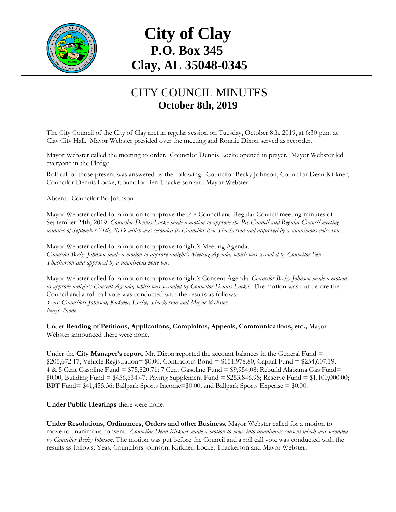

## **City of Clay P.O. Box 345 Clay, AL 35048-0345**

## CITY COUNCIL MINUTES **October 8th, 2019**

The City Council of the City of Clay met in regular session on Tuesday, October 8th, 2019, at 6:30 p.m. at Clay City Hall. Mayor Webster presided over the meeting and Ronnie Dixon served as recorder.

Mayor Webster called the meeting to order. Councilor Dennis Locke opened in prayer. Mayor Webster led everyone in the Pledge.

Roll call of those present was answered by the following: Councilor Becky Johnson, Councilor Dean Kirkner, Councilor Dennis Locke, Councilor Ben Thackerson and Mayor Webster.

Absent: Councilor Bo Johnson

Mayor Webster called for a motion to approve the Pre-Council and Regular Council meeting minutes of September 24th, 2019. *Councilor Dennis Locke made a motion to approve the Pre-Council and Regular Council meeting minutes of September 24th, 2019 which was seconded by Councilor Ben Thackerson and approved by a unanimous voice vote.*

Mayor Webster called for a motion to approve tonight's Meeting Agenda. *Councilor Becky Johnson made a motion to approve tonight's Meeting Agenda, which was seconded by Councilor Ben Thackerson and approved by a unanimous voice vote.*

Mayor Webster called for a motion to approve tonight's Consent Agenda. *Councilor Becky Johnson made a motion to approve tonight's Consent Agenda, which was seconded by Councilor Dennis Locke.* The motion was put before the Council and a roll call vote was conducted with the results as follows: *Yeas: Councilors Johnson, Kirkner, Locke, Thackerson and Mayor Webster Nays: None*

Under **Reading of Petitions, Applications, Complaints, Appeals, Communications, etc.,** Mayor Webster announced there were none.

Under the **City Manager's report**, Mr. Dixon reported the account balances in the General Fund =  $$205,672.17$ ; Vehicle Registration=  $$0.00$ ; Contractors Bond = \$151,978.80; Capital Fund = \$254,607.19; 4 & 5 Cent Gasoline Fund = \$75,820.71; 7 Cent Gasoline Fund = \$9,954.08; Rebuild Alabama Gas Fund= \$0.00; Building Fund = \$456,634.47; Paving Supplement Fund = \$253,846.98; Reserve Fund = \$1,100,000.00; BBT Fund= \$41,455.36; Ballpark Sports Income=\$0.00; and Ballpark Sports Expense = \$0.00.

**Under Public Hearings** there were none.

**Under Resolutions, Ordinances, Orders and other Business**, Mayor Webster called for a motion to move to unanimous consent. *Councilor Dean Kirkner made a motion to move into unanimous consent which was seconded by Councilor Becky Johnson*. The motion was put before the Council and a roll call vote was conducted with the results as follows: Yeas: Councilors Johnson, Kirkner, Locke, Thackerson and Mayor Webster.